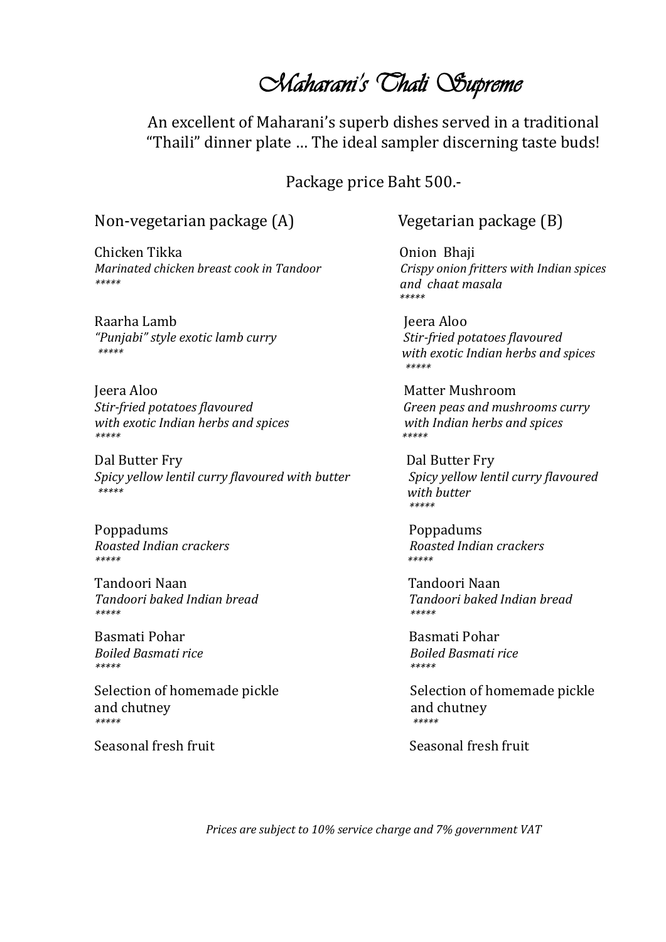# *Maharani's Thali Supreme*

An excellent of Maharani's superb dishes served in a traditional "Thaili" dinner plate … The ideal sampler discerning taste buds!

Package price Baht 500.-

#### Non-vegetarian package (A) Vegetarian package (B)

Chicken Tikka Onion Bhaji *Marinated chicken breast cook in Tandoor Crispy onion fritters with Indian spices \*\*\*\*\* and chaat masala*

Raarha Lamb Jeera Aloo *"Punjabi" style exotic lamb curry Stir-fried potatoes flavoured* 

Jeera Aloo Matter Mushroom *Stir-fried potatoes flavoured Green peas and mushrooms curry with exotic Indian herbs and spices with Indian herbs and spices \*\*\*\*\* \*\*\*\*\**

Dal Butter Fry Dal Butter Fry *Spicy yellow lentil curry flavoured with butter* Spicy yellow lentil curry flavoured *\*\*\*\*\* with butter*

Poppadums Poppadums *\*\*\*\*\* \*\*\*\*\** 

Tandoori Naan Tandoori Naan *\*\*\*\*\* \*\*\*\*\** 

Basmati Pohar Basmati Pohar *\*\*\*\*\* \*\*\*\*\** 

and chutney and chutney and chutney *\*\*\*\*\* \*\*\*\*\** 

Seasonal fresh fruit Seasonal fresh fruit

 *\*\*\*\*\**

*\*\*\*\*\* with exotic Indian herbs and spices \*\*\*\*\**

 *\*\*\*\*\** 

*Roasted Indian crackers Roasted Indian crackers*

*Tandoori baked Indian bread Tandoori baked Indian bread*

*Boiled Basmati rice Boiled Basmati rice*

Selection of homemade pickle Selection of homemade pickle

*Prices are subject to 10% service charge and 7% government VAT*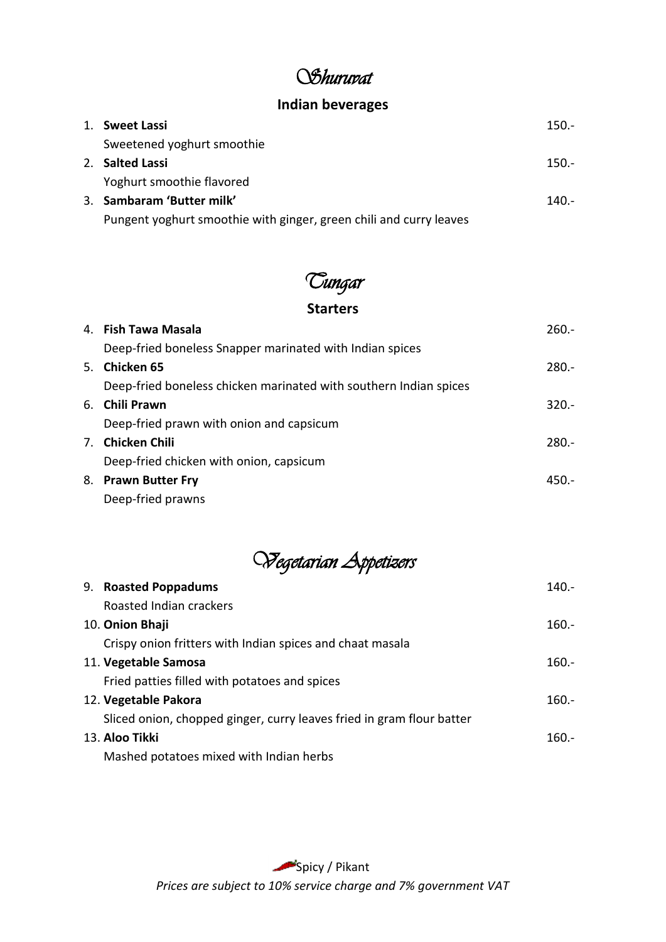# *Shuruvat*

#### **Indian beverages**

| 1. Sweet Lassi                                                     | $150 -$  |
|--------------------------------------------------------------------|----------|
| Sweetened yoghurt smoothie                                         |          |
| 2. Salted Lassi                                                    | $150 -$  |
| Yoghurt smoothie flavored                                          |          |
| 3. Sambaram 'Butter milk'                                          | $140. -$ |
| Pungent yoghurt smoothie with ginger, green chili and curry leaves |          |

# *Tungar*

#### **Starters**

|  | 4. Fish Tawa Masala                                               | $260 -$ |
|--|-------------------------------------------------------------------|---------|
|  | Deep-fried boneless Snapper marinated with Indian spices          |         |
|  | 5. Chicken 65                                                     | $280 -$ |
|  | Deep-fried boneless chicken marinated with southern Indian spices |         |
|  | 6. Chili Prawn                                                    | $320 -$ |
|  | Deep-fried prawn with onion and capsicum                          |         |
|  | 7. Chicken Chili                                                  | $280 -$ |
|  | Deep-fried chicken with onion, capsicum                           |         |
|  | 8. Prawn Butter Fry                                               | $450 -$ |
|  | Deep-fried prawns                                                 |         |

*Vegetarian Appetizers*

| 9. Roasted Poppadums                                                  | $140 -$ |
|-----------------------------------------------------------------------|---------|
| Roasted Indian crackers                                               |         |
| 10. Onion Bhaji                                                       | $160 -$ |
| Crispy onion fritters with Indian spices and chaat masala             |         |
| 11. Vegetable Samosa                                                  | $160 -$ |
| Fried patties filled with potatoes and spices                         |         |
| 12. Vegetable Pakora                                                  | $160 -$ |
| Sliced onion, chopped ginger, curry leaves fried in gram flour batter |         |
| 13. Aloo Tikki                                                        | $160 -$ |
| Mashed potatoes mixed with Indian herbs                               |         |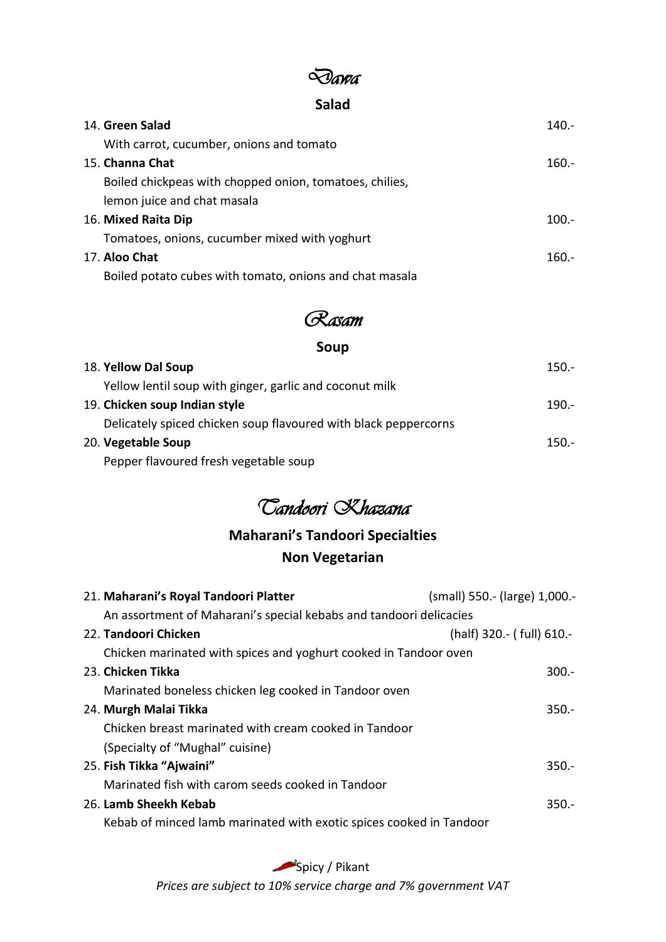### *Dawa*

#### **Salad**

| 14. Green Salad                                         | $140 -$ |
|---------------------------------------------------------|---------|
| With carrot, cucumber, onions and tomato                |         |
| 15. Channa Chat                                         | $160 -$ |
| Boiled chickpeas with chopped onion, tomatoes, chilies, |         |
| lemon juice and chat masala                             |         |
| 16. Mixed Raita Dip                                     | $100.-$ |
| Tomatoes, onions, cucumber mixed with yoghurt           |         |
| 17. Aloo Chat                                           | $160 -$ |
| Boiled potato cubes with tomato, onions and chat masala |         |

## *Rasam*

### **Soup**

| 18. Yellow Dal Soup                                             | $150 -$ |
|-----------------------------------------------------------------|---------|
| Yellow lentil soup with ginger, garlic and coconut milk         |         |
| 19. Chicken soup Indian style                                   | $190 -$ |
| Delicately spiced chicken soup flavoured with black peppercorns |         |
| 20. Vegetable Soup                                              | $150 -$ |
| Pepper flavoured fresh vegetable soup                           |         |

# *Tandoori Khazana*

### **Maharani's Tandoori Specialties Non Vegetarian**

| 21. Maharani's Royal Tandoori Platter                               | (small) 550.- (large) 1,000.- |
|---------------------------------------------------------------------|-------------------------------|
| An assortment of Maharani's special kebabs and tandoori delicacies  |                               |
| 22. Tandoori Chicken                                                | (half) 320.- (full) 610.-     |
| Chicken marinated with spices and yoghurt cooked in Tandoor oven    |                               |
| 23. Chicken Tikka                                                   | $300 -$                       |
| Marinated boneless chicken leg cooked in Tandoor oven               |                               |
| 24. Murgh Malai Tikka                                               | $350 -$                       |
| Chicken breast marinated with cream cooked in Tandoor               |                               |
| (Specialty of "Mughal" cuisine)                                     |                               |
| 25. Fish Tikka "Ajwaini"                                            | $350 -$                       |
| Marinated fish with carom seeds cooked in Tandoor                   |                               |
| 26. Lamb Sheekh Kebab                                               | $350 -$                       |
| Kebab of minced lamb marinated with exotic spices cooked in Tandoor |                               |
|                                                                     |                               |

Spicy / Pikant

*Prices are subject to 10% service charge and 7% government VAT*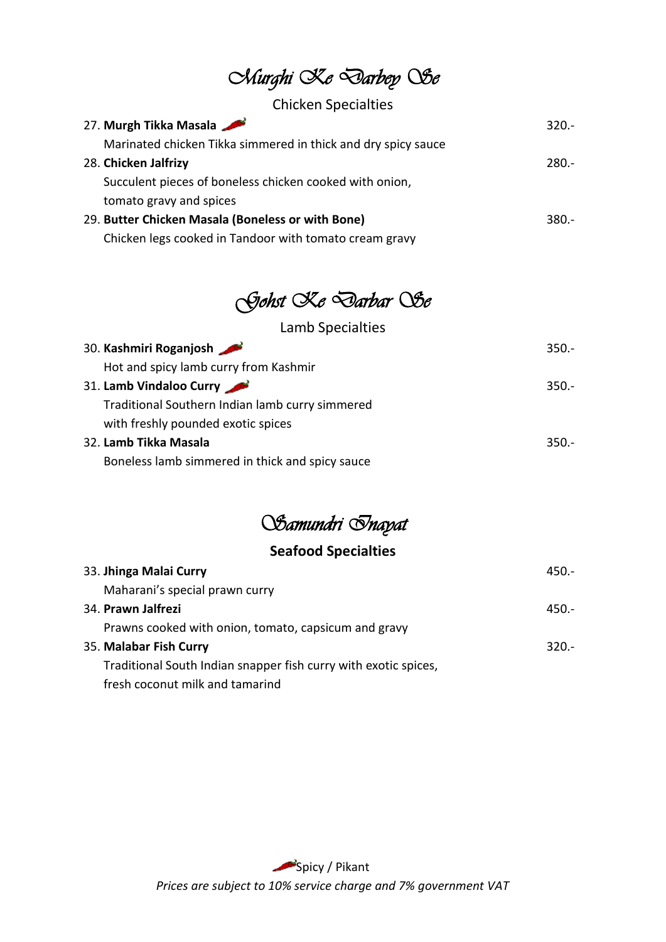*Murghi Ke Darbey Se* 

#### Chicken Specialties

| 27. Murgh Tikka Masala                                        | $320 -$ |
|---------------------------------------------------------------|---------|
| Marinated chicken Tikka simmered in thick and dry spicy sauce |         |
| 28. Chicken Jalfrizy                                          | 280.-   |
| Succulent pieces of boneless chicken cooked with onion,       |         |
| tomato gravy and spices                                       |         |
| 29. Butter Chicken Masala (Boneless or with Bone)             | 380.-   |
| Chicken legs cooked in Tandoor with tomato cream gravy        |         |

# *Gohst Ke Darbar Se*

| Lamb Specialties                                |         |
|-------------------------------------------------|---------|
| 30. Kashmiri Roganjosh                          | $350 -$ |
| Hot and spicy lamb curry from Kashmir           |         |
| 31. Lamb Vindaloo Curry                         | $350 -$ |
| Traditional Southern Indian lamb curry simmered |         |
| with freshly pounded exotic spices              |         |
| 32. Lamb Tikka Masala                           | 350.-   |
| Boneless lamb simmered in thick and spicy sauce |         |
|                                                 |         |

# *Samundri Inayat*

### **Seafood Specialties**

| 33. Jhinga Malai Curry                                          | 450.- |
|-----------------------------------------------------------------|-------|
| Maharani's special prawn curry                                  |       |
| 34. Prawn Jalfrezi                                              | 450.- |
| Prawns cooked with onion, tomato, capsicum and gravy            |       |
| 35. Malabar Fish Curry                                          | 320.  |
| Traditional South Indian snapper fish curry with exotic spices, |       |
| fresh coconut milk and tamarind                                 |       |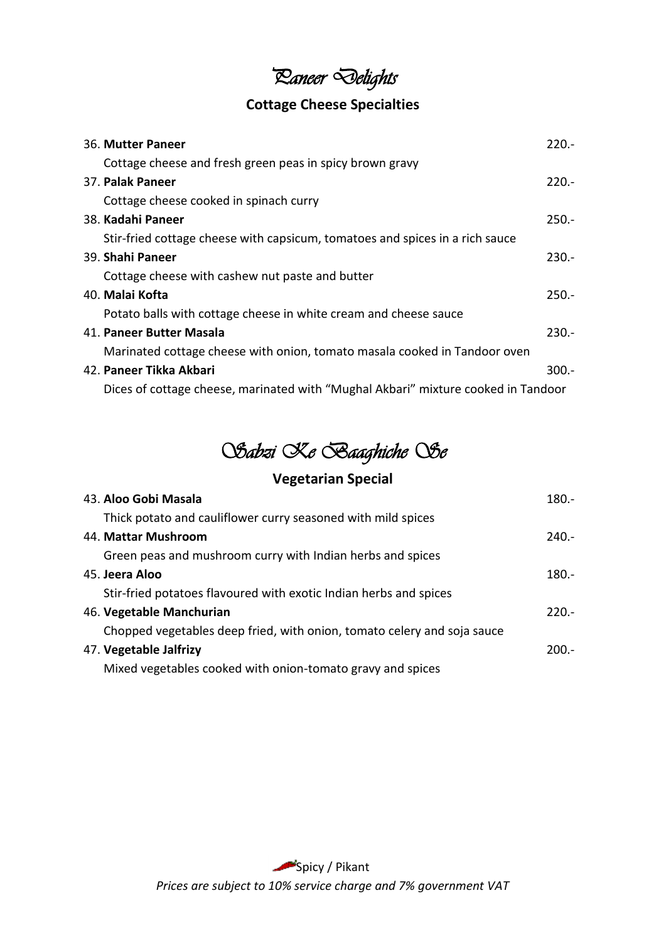# *Paneer Delights*

### **Cottage Cheese Specialties**

| 36. Mutter Paneer                                                                 | $220 -$ |
|-----------------------------------------------------------------------------------|---------|
| Cottage cheese and fresh green peas in spicy brown gravy                          |         |
| 37. Palak Paneer                                                                  | $220 -$ |
| Cottage cheese cooked in spinach curry                                            |         |
| 38. Kadahi Paneer                                                                 | $250 -$ |
| Stir-fried cottage cheese with capsicum, tomatoes and spices in a rich sauce      |         |
| 39. Shahi Paneer                                                                  | $230 -$ |
| Cottage cheese with cashew nut paste and butter                                   |         |
| 40. Malai Kofta                                                                   | $250 -$ |
| Potato balls with cottage cheese in white cream and cheese sauce                  |         |
| 41. Paneer Butter Masala                                                          | $230 -$ |
| Marinated cottage cheese with onion, tomato masala cooked in Tandoor oven         |         |
| 42. Paneer Tikka Akbari                                                           | $300 -$ |
| Dices of cottage cheese, marinated with "Mughal Akbari" mixture cooked in Tandoor |         |

# *Sabzi Ke Baaghiche Se*

### **Vegetarian Special**

| 43. Aloo Gobi Masala                                                    | $180 -$ |
|-------------------------------------------------------------------------|---------|
| Thick potato and cauliflower curry seasoned with mild spices            |         |
| 44. Mattar Mushroom                                                     | $240 -$ |
| Green peas and mushroom curry with Indian herbs and spices              |         |
| 45. Jeera Aloo                                                          | $180 -$ |
| Stir-fried potatoes flavoured with exotic Indian herbs and spices       |         |
| 46. Vegetable Manchurian                                                | $220 -$ |
| Chopped vegetables deep fried, with onion, tomato celery and soja sauce |         |
| 47. Vegetable Jalfrizy                                                  | $200 -$ |
| Mixed vegetables cooked with onion-tomato gravy and spices              |         |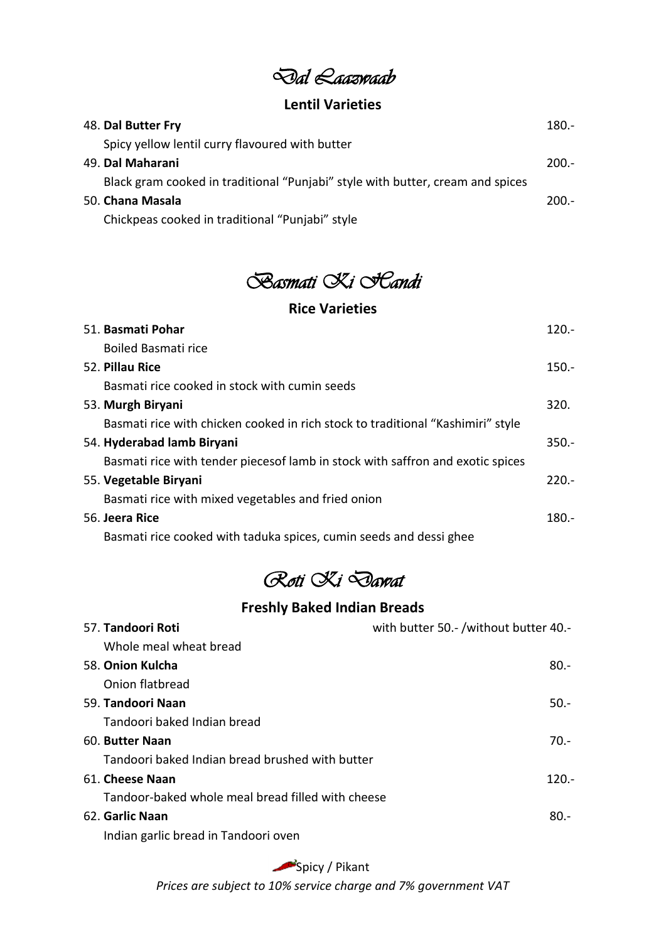*Dal Laazwaab* 

#### **Lentil Varieties**

| 48. Dal Butter Fry                                                             | $180 -$ |
|--------------------------------------------------------------------------------|---------|
| Spicy yellow lentil curry flavoured with butter                                |         |
| 49. Dal Maharani                                                               | $200.-$ |
| Black gram cooked in traditional "Punjabi" style with butter, cream and spices |         |
| 50. <b>Chana Masala</b>                                                        | $200 -$ |
| Chickpeas cooked in traditional "Punjabi" style                                |         |

*Basmati Ki Handi* 

#### **Rice Varieties**

| 51. Basmati Pohar                                                               | 120.     |
|---------------------------------------------------------------------------------|----------|
| Boiled Basmati rice                                                             |          |
| 52. Pillau Rice                                                                 | $150. -$ |
| Basmati rice cooked in stock with cumin seeds                                   |          |
| 53. Murgh Biryani                                                               | 320.     |
| Basmati rice with chicken cooked in rich stock to traditional "Kashimiri" style |          |
| 54. Hyderabad lamb Biryani                                                      | $350. -$ |
| Basmati rice with tender pieces of lamb in stock with saffron and exotic spices |          |
| 55. Vegetable Biryani                                                           | $220. -$ |
| Basmati rice with mixed vegetables and fried onion                              |          |
| 56. Jeera Rice                                                                  | $180. -$ |
| Basmati rice cooked with taduka spices, cumin seeds and dessi ghee              |          |

## *Roti Ki Dawat*

#### **Freshly Baked Indian Breads**

| 57. Tandoori Roti                                 | with butter 50.- /without butter 40.- |
|---------------------------------------------------|---------------------------------------|
| Whole meal wheat bread                            |                                       |
| 58. Onion Kulcha                                  | $80 -$                                |
| Onion flatbread                                   |                                       |
| 59. Tandoori Naan                                 | $50 -$                                |
| Tandoori baked Indian bread                       |                                       |
| 60. Butter Naan                                   | $70 -$                                |
| Tandoori baked Indian bread brushed with butter   |                                       |
| 61. Cheese Naan                                   | $120. -$                              |
| Tandoor-baked whole meal bread filled with cheese |                                       |
| 62. Garlic Naan                                   | $80 -$                                |
| Indian garlic bread in Tandoori oven              |                                       |

#### Spicy / Pikant

*Prices are subject to 10% service charge and 7% government VAT*